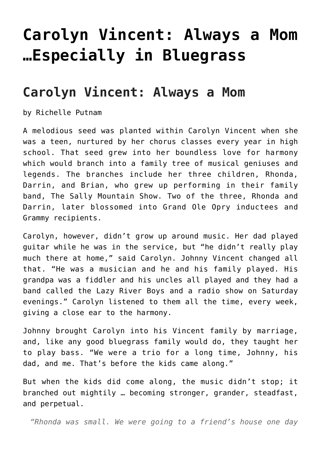## **[Carolyn Vincent: Always a Mom](https://thebluegrassstandard.com/carolyn-vincent-always-a-mom-especially-in-bluegrass/) […Especially in Bluegrass](https://thebluegrassstandard.com/carolyn-vincent-always-a-mom-especially-in-bluegrass/)**

## **Carolyn Vincent: Always a Mom**

by Richelle Putnam

A melodious seed was planted within Carolyn Vincent when she was a teen, nurtured by her chorus classes every year in high school. That seed grew into her boundless love for harmony which would branch into a family tree of musical geniuses and legends. The branches include her three children, Rhonda, Darrin, and Brian, who grew up performing in their family band, The Sally Mountain Show. Two of the three, Rhonda and Darrin, later blossomed into Grand Ole Opry inductees and Grammy recipients.

Carolyn, however, didn't grow up around music. Her dad played guitar while he was in the service, but "he didn't really play much there at home," said Carolyn. Johnny Vincent changed all that. "He was a musician and he and his family played. His grandpa was a fiddler and his uncles all played and they had a band called the Lazy River Boys and a radio show on Saturday evenings." Carolyn listened to them all the time, every week, giving a close ear to the harmony.

Johnny brought Carolyn into his Vincent family by marriage, and, like any good bluegrass family would do, they taught her to play bass. "We were a trio for a long time, Johnny, his dad, and me. That's before the kids came along."

But when the kids did come along, the music didn't stop; it branched out mightily … becoming stronger, grander, steadfast, and perpetual.

*"Rhonda was small. We were going to a friend's house one day*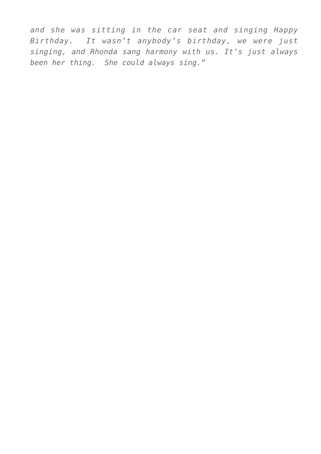*and she was sitting in the car seat and singing Happy Birthday. It wasn't anybody's birthday, we were just singing, and Rhonda sang harmony with us. It's just always been her thing. She could always sing."*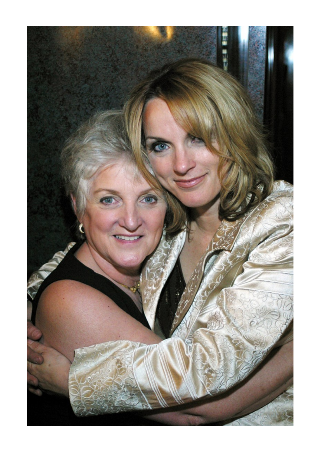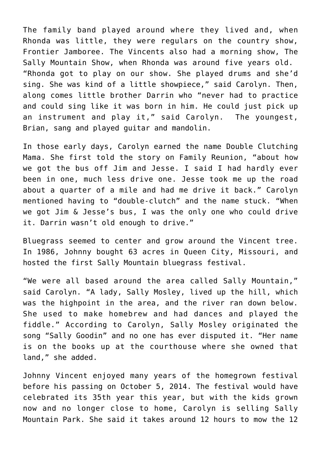The family band played around where they lived and, when Rhonda was little, they were regulars on the country show, Frontier Jamboree. The Vincents also had a morning show, The Sally Mountain Show, when Rhonda was around five years old. "Rhonda got to play on our show. She played drums and she'd sing. She was kind of a little showpiece," said Carolyn. Then, along comes little brother Darrin who "never had to practice and could sing like it was born in him. He could just pick up an instrument and play it," said Carolyn. The youngest, Brian, sang and played guitar and mandolin.

In those early days, Carolyn earned the name Double Clutching Mama. She first told the story on Family Reunion, "about how we got the bus off Jim and Jesse. I said I had hardly ever been in one, much less drive one. Jesse took me up the road about a quarter of a mile and had me drive it back." Carolyn mentioned having to "double-clutch" and the name stuck. "When we got Jim & Jesse's bus, I was the only one who could drive it. Darrin wasn't old enough to drive."

Bluegrass seemed to center and grow around the Vincent tree. In 1986, Johnny bought 63 acres in Queen City, Missouri, and hosted the first Sally Mountain bluegrass festival.

"We were all based around the area called Sally Mountain," said Carolyn. "A lady, Sally Mosley, lived up the hill, which was the highpoint in the area, and the river ran down below. She used to make homebrew and had dances and played the fiddle." According to Carolyn, Sally Mosley originated the song "Sally Goodin" and no one has ever disputed it. "Her name is on the books up at the courthouse where she owned that land," she added.

Johnny Vincent enjoyed many years of the homegrown festival before his passing on October 5, 2014. The festival would have celebrated its 35th year this year, but with the kids grown now and no longer close to home, Carolyn is selling Sally Mountain Park. She said it takes around 12 hours to mow the 12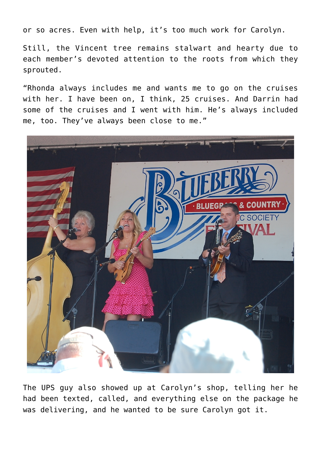or so acres. Even with help, it's too much work for Carolyn.

Still, the Vincent tree remains stalwart and hearty due to each member's devoted attention to the roots from which they sprouted.

"Rhonda always includes me and wants me to go on the cruises with her. I have been on, I think, 25 cruises. And Darrin had some of the cruises and I went with him. He's always included me, too. They've always been close to me."



The UPS guy also showed up at Carolyn's shop, telling her he had been texted, called, and everything else on the package he was delivering, and he wanted to be sure Carolyn got it.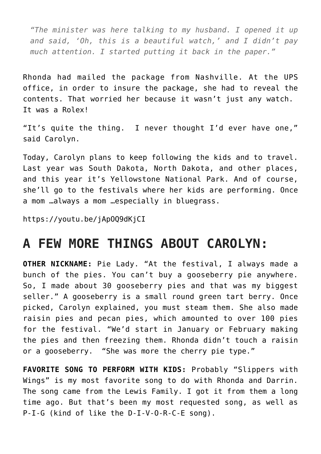*"The minister was here talking to my husband. I opened it up and said, 'Oh, this is a beautiful watch,' and I didn't pay much attention. I started putting it back in the paper."*

Rhonda had mailed the package from Nashville. At the UPS office, in order to insure the package, she had to reveal the contents. That worried her because it wasn't just any watch. It was a Rolex!

"It's quite the thing. I never thought I'd ever have one," said Carolyn.

Today, Carolyn plans to keep following the kids and to travel. Last year was South Dakota, North Dakota, and other places, and this year it's Yellowstone National Park. And of course, she'll go to the festivals where her kids are performing. Once a mom …always a mom …especially in bluegrass.

https://youtu.be/jApOQ9dKjCI

## **A FEW MORE THINGS ABOUT CAROLYN:**

**OTHER NICKNAME:** Pie Lady. "At the festival, I always made a bunch of the pies. You can't buy a gooseberry pie anywhere. So, I made about 30 gooseberry pies and that was my biggest seller." A gooseberry is a small round green tart berry. Once picked, Carolyn explained, you must steam them. She also made raisin pies and pecan pies, which amounted to over 100 pies for the festival. "We'd start in January or February making the pies and then freezing them. Rhonda didn't touch a raisin or a gooseberry. "She was more the cherry pie type."

**FAVORITE SONG TO PERFORM WITH KIDS:** Probably "Slippers with Wings" is my most favorite song to do with Rhonda and Darrin. The song came from the Lewis Family. I got it from them a long time ago. But that's been my most requested song, as well as P-I-G (kind of like the D-I-V-O-R-C-E song).